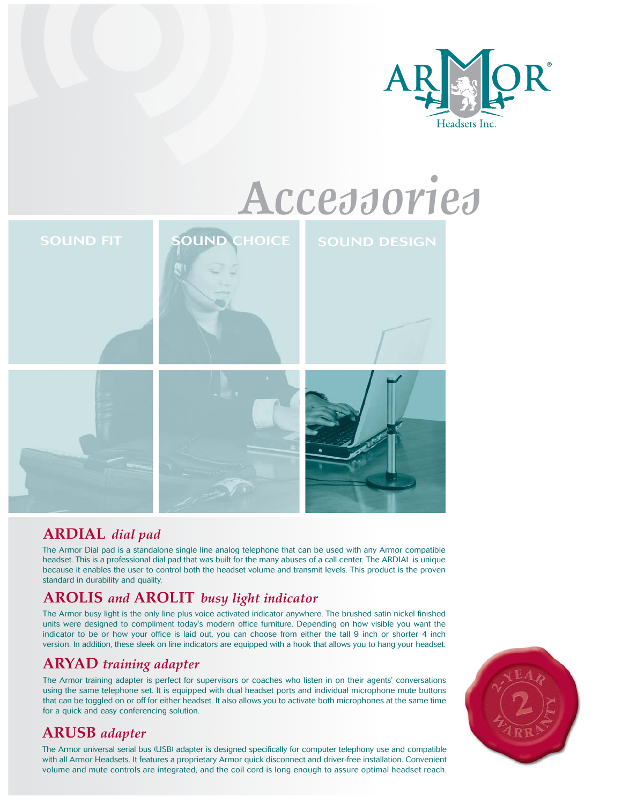

# *Accessories*



## **ARDIAL** *dial pad*

The Armor Dial pad is a standalone single line analog telephone that can be used with any Armor compatible headset. This is a professional dial pad that was built for the many abuses of a call center. The ARDIAL is unique because it enables the user to control both the headset volume and transmit levels. This product is the proven standard in durability and quality.

## **AROLIS** *and* **AROLIT** *busy light indicator*

The Armor busy light is the only line plus voice activated indicator anywhere. The brushed satin nickel finished units were designed to compliment today's modern office furniture. Depending on how visible you want the indicator to be or how your office is laid out, you can choose from either the tall 9 inch or shorter 4 inch version. In addition, these sleek on line indicators are equipped with a hook that allows you to hang your headset.

## **ARYAD** *training adapter*

The Armor training adapter is perfect for supervisors or coaches who listen in on their agents' conversations using the same telephone set. It is equipped with dual headset ports and individual microphone mute buttons that can be toggled on or off for either headset. It also allows you to activate both microphones at the same time for a quick and easy conferencing solution.

# **ARUSB** *adapter*

The Armor universal serial bus (USB) adapter is designed specifically for computer telephony use and compatible with all Armor Headsets. It features a proprietary Armor quick disconnect and driver-free installation. Convenient volume and mute controls are integrated, and the coil cord is long enough to assure optimal headset reach.